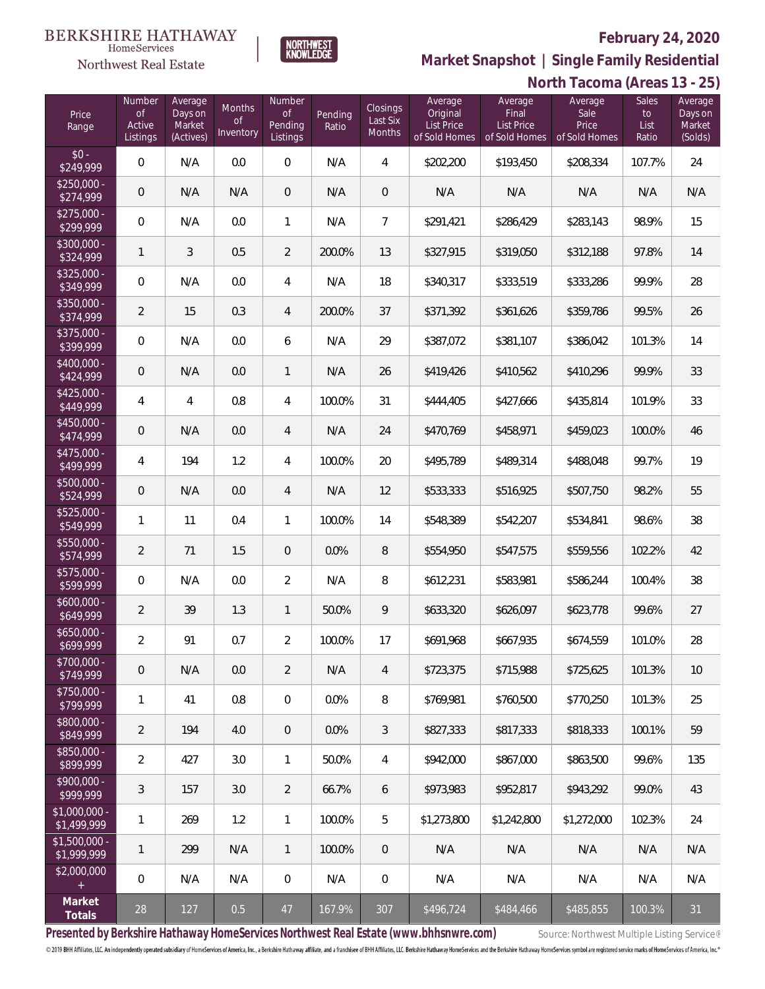**North Tacoma (Areas 13 - 25)**



**Market Snapshot | Single Family Residential**

### **BERKSHIRE HATHAWAY** HomeServices Northwest Real Estate

| Price<br>Range                | Number<br>of<br>Active<br>Listings | Average<br>Days on<br>Market<br>(Actives) | <b>Months</b><br><b>of</b><br>Inventory | <b>Number</b><br><b>of</b><br>Pending<br>Listings | Pending<br>Ratio | Closings<br>Last Six<br>Months | Average<br>Original<br><b>List Price</b><br>of Sold Homes | Average<br>Final<br>List Price<br>of Sold Homes | Average<br>Sale<br>Price<br>of Sold Homes | <b>Sales</b><br>to<br>List<br>Ratio | Average<br>Days on<br>Market<br>(Solds) |
|-------------------------------|------------------------------------|-------------------------------------------|-----------------------------------------|---------------------------------------------------|------------------|--------------------------------|-----------------------------------------------------------|-------------------------------------------------|-------------------------------------------|-------------------------------------|-----------------------------------------|
| $$0 -$<br>\$249,999           | $\overline{0}$                     | N/A                                       | 0.0                                     | 0                                                 | N/A              | $\overline{4}$                 | \$202,200                                                 | \$193,450                                       | \$208,334                                 | 107.7%                              | 24                                      |
| $$250,000 -$<br>\$274,999     | $\overline{0}$                     | N/A                                       | N/A                                     | $\overline{0}$                                    | N/A              | 0                              | N/A                                                       | N/A                                             | N/A                                       | N/A                                 | N/A                                     |
| $$275,000 -$<br>\$299,999     | $\overline{0}$                     | N/A                                       | 0.0                                     | $\mathbf{1}$                                      | N/A              | $\overline{7}$                 | \$291,421                                                 | \$286,429                                       | \$283,143                                 | 98.9%                               | 15                                      |
| $$300,000 -$<br>\$324,999     | 1                                  | 3                                         | 0.5                                     | $\overline{2}$                                    | 200.0%           | 13                             | \$327,915                                                 | \$319,050                                       | \$312,188                                 | 97.8%                               | 14                                      |
| $$325,000 -$<br>\$349,999     | $\overline{0}$                     | N/A                                       | 0.0                                     | $\overline{4}$                                    | N/A              | 18                             | \$340,317                                                 | \$333,519                                       | \$333,286                                 | 99.9%                               | 28                                      |
| $$350,000 -$<br>\$374,999     | $\overline{2}$                     | 15                                        | 0.3                                     | $\overline{4}$                                    | 200.0%           | 37                             | \$371,392                                                 | \$361,626                                       | \$359,786                                 | 99.5%                               | 26                                      |
| $$375,000 -$<br>\$399,999     | $\overline{0}$                     | N/A                                       | 0.0                                     | 6                                                 | N/A              | 29                             | \$387,072                                                 | \$381,107                                       | \$386,042                                 | 101.3%                              | 14                                      |
| \$400,000 -<br>\$424,999      | $\overline{0}$                     | N/A                                       | 0.0                                     | $\mathbf{1}$                                      | N/A              | 26                             | \$419,426                                                 | \$410,562                                       | \$410,296                                 | 99.9%                               | 33                                      |
| $$425,000 -$<br>\$449,999     | 4                                  | 4                                         | 0.8                                     | $\overline{4}$                                    | 100.0%           | 31                             | \$444,405                                                 | \$427,666                                       | \$435,814                                 | 101.9%                              | 33                                      |
| \$450,000 -<br>\$474,999      | $\overline{0}$                     | N/A                                       | 0.0                                     | $\overline{4}$                                    | N/A              | 24                             | \$470,769                                                 | \$458,971                                       | \$459,023                                 | 100.0%                              | 46                                      |
| $$475,000 -$<br>\$499,999     | 4                                  | 194                                       | 1.2                                     | 4                                                 | 100.0%           | 20                             | \$495,789                                                 | \$489,314                                       | \$488,048                                 | 99.7%                               | 19                                      |
| $$500,000 -$<br>\$524,999     | $\overline{0}$                     | N/A                                       | 0.0                                     | $\overline{4}$                                    | N/A              | 12                             | \$533,333                                                 | \$516,925                                       | \$507,750                                 | 98.2%                               | 55                                      |
| $$525,000 -$<br>\$549,999     | 1                                  | 11                                        | 0.4                                     | $\mathbf{1}$                                      | 100.0%           | 14                             | \$548,389                                                 | \$542,207                                       | \$534,841                                 | 98.6%                               | 38                                      |
| $$550,000 -$<br>\$574,999     | $\overline{2}$                     | 71                                        | 1.5                                     | $\overline{0}$                                    | 0.0%             | 8                              | \$554,950                                                 | \$547,575                                       | \$559,556                                 | 102.2%                              | 42                                      |
| $$575,000 -$<br>\$599,999     | $\overline{0}$                     | N/A                                       | 0.0                                     | $\overline{2}$                                    | N/A              | 8                              | \$612,231                                                 | \$583,981                                       | \$586,244                                 | 100.4%                              | 38                                      |
| $$600,000 -$<br>\$649,999     | $\overline{2}$                     | 39                                        | 1.3                                     | $\mathbf{1}$                                      | 50.0%            | 9                              | \$633,320                                                 | \$626,097                                       | \$623,778                                 | 99.6%                               | 27                                      |
| $$650,000 -$<br>\$699,999     | $\overline{a}$                     | 91                                        | 0.7                                     | $\overline{2}$                                    | 100.0%           | 17                             | \$691,968                                                 | \$667,935                                       | \$674,559                                 | 101.0%                              | 28                                      |
| \$700,000 -<br>\$749,999      | 0                                  | N/A                                       | $0.0\,$                                 | $\overline{2}$                                    | N/A              | 4                              | \$723,375                                                 | \$715,988                                       | \$725,625                                 | 101.3%                              | $10$                                    |
| \$750,000 -<br>\$799,999      | 1                                  | 41                                        | 0.8                                     | $\mathbf 0$                                       | 0.0%             | 8                              | \$769,981                                                 | \$760,500                                       | \$770,250                                 | 101.3%                              | 25                                      |
| $$800,000 -$<br>\$849,999     | $\overline{2}$                     | 194                                       | 4.0                                     | $\mathbf 0$                                       | 0.0%             | 3                              | \$827,333                                                 | \$817,333                                       | \$818,333                                 | 100.1%                              | 59                                      |
| $$850,000 -$<br>\$899,999     | $\overline{2}$                     | 427                                       | 3.0                                     | $\mathbf{1}$                                      | 50.0%            | 4                              | \$942,000                                                 | \$867,000                                       | \$863,500                                 | 99.6%                               | 135                                     |
| \$900,000 -<br>\$999,999      | 3                                  | 157                                       | 3.0                                     | $\overline{2}$                                    | 66.7%            | 6                              | \$973,983                                                 | \$952,817                                       | \$943,292                                 | 99.0%                               | 43                                      |
| $$1,000,000 -$<br>\$1,499,999 | $\mathbf{1}$                       | 269                                       | 1.2                                     | $\mathbf{1}$                                      | 100.0%           | 5                              | \$1,273,800                                               | \$1,242,800                                     | \$1,272,000                               | 102.3%                              | 24                                      |
| $$1,500,000 -$<br>\$1,999,999 | 1                                  | 299                                       | N/A                                     | $\mathbf{1}$                                      | 100.0%           | 0                              | N/A                                                       | N/A                                             | N/A                                       | N/A                                 | N/A                                     |
| \$2,000,000<br>$+$            | $\mathbf 0$                        | N/A                                       | N/A                                     | $\mathbf 0$                                       | N/A              | $\mathbf 0$                    | N/A                                                       | N/A                                             | N/A                                       | N/A                                 | N/A                                     |
| Market<br>Totals              | 28                                 | 127                                       | 0.5                                     | 47                                                | 167.9%           | 307                            | \$496,724                                                 | \$484,466                                       | \$485,855                                 | 100.3%                              | 31                                      |

Presented by Berkshire Hathaway HomeServices Northwest Real Estate (www.bhhsnwre.com) Source: Northwest Multiple Listing Service®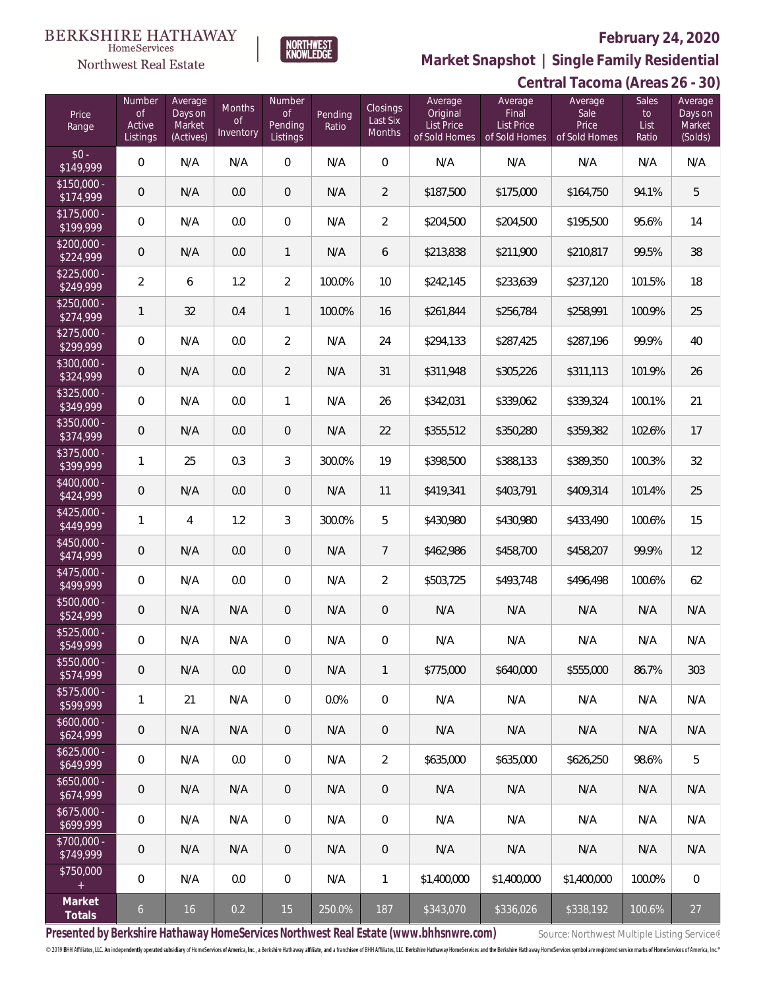

**Market Snapshot | Single Family Residential**

### **BERKSHIRE HATHAWAY NORTHWEST**<br>KNOWLEDGE  $\label{lem:sevices} \textsc{Home} \textsc{Service} \textsc{s}$ Northwest Real Estate

| Central Tacoma (Areas 26 - 30) |  |
|--------------------------------|--|
|--------------------------------|--|

| Price<br>Range            | Number<br><b>of</b><br>Active<br>Listings | Average<br>Days on<br>Market<br>(Actives) | Months<br>Οf<br>Inventory | Number<br>0f<br><b>Pending</b><br>Listings | Pending<br>Ratio | Closings<br>Last Six<br>Months | Average<br>Original<br>List Price<br>of Sold Homes | Average<br>Final<br><b>List Price</b><br>of Sold Homes | Average<br>Sale<br>Price<br>of Sold Homes | <b>Sales</b><br>to<br>List<br>Ratio | Average<br>Days on<br>Market<br>(Solds) |
|---------------------------|-------------------------------------------|-------------------------------------------|---------------------------|--------------------------------------------|------------------|--------------------------------|----------------------------------------------------|--------------------------------------------------------|-------------------------------------------|-------------------------------------|-----------------------------------------|
| $$0 -$<br>\$149,999       | $\mathbf{0}$                              | N/A                                       | N/A                       | $\overline{0}$                             | N/A              | $\overline{0}$                 | N/A                                                | N/A                                                    | N/A                                       | N/A                                 | N/A                                     |
| $$150,000 -$<br>\$174,999 | $\overline{0}$                            | N/A                                       | 0.0                       | $\overline{0}$                             | N/A              | $\overline{2}$                 | \$187,500                                          | \$175,000                                              | \$164,750                                 | 94.1%                               | 5                                       |
| $$175,000 -$<br>\$199,999 | $\mathbf 0$                               | N/A                                       | 0.0                       | $\overline{0}$                             | N/A              | $\overline{2}$                 | \$204,500                                          | \$204,500                                              | \$195,500                                 | 95.6%                               | 14                                      |
| $$200,000 -$<br>\$224,999 | $\overline{0}$                            | N/A                                       | 0.0                       | $\mathbf{1}$                               | N/A              | 6                              | \$213,838                                          | \$211,900                                              | \$210,817                                 | 99.5%                               | 38                                      |
| $$225,000 -$<br>\$249,999 | $\overline{2}$                            | 6                                         | 1.2                       | $\overline{2}$                             | 100.0%           | 10                             | \$242,145                                          | \$233,639                                              | \$237,120                                 | 101.5%                              | 18                                      |
| $$250,000 -$<br>\$274,999 | $\mathbf{1}$                              | 32                                        | 0.4                       | $\mathbf{1}$                               | 100.0%           | 16                             | \$261,844                                          | \$256,784                                              | \$258,991                                 | 100.9%                              | 25                                      |
| $$275,000 -$<br>\$299,999 | $\mathbf 0$                               | N/A                                       | 0.0                       | $\overline{2}$                             | N/A              | 24                             | \$294,133                                          | \$287,425                                              | \$287,196                                 | 99.9%                               | 40                                      |
| $$300,000 -$<br>\$324,999 | $\overline{0}$                            | N/A                                       | 0.0                       | $\overline{2}$                             | N/A              | 31                             | \$311,948                                          | \$305,226                                              | \$311,113                                 | 101.9%                              | 26                                      |
| $$325,000 -$<br>\$349,999 | $\mathbf 0$                               | N/A                                       | 0.0                       | $\mathbf{1}$                               | N/A              | 26                             | \$342,031                                          | \$339,062                                              | \$339,324                                 | 100.1%                              | 21                                      |
| $$350,000 -$<br>\$374,999 | $\overline{0}$                            | N/A                                       | 0.0                       | $\overline{0}$                             | N/A              | 22                             | \$355,512                                          | \$350,280                                              | \$359,382                                 | 102.6%                              | 17                                      |
| $$375,000 -$<br>\$399,999 | $\mathbf{1}$                              | 25                                        | 0.3                       | 3                                          | 300.0%           | 19                             | \$398,500                                          | \$388,133                                              | \$389,350                                 | 100.3%                              | 32                                      |
| $$400,000 -$<br>\$424,999 | $\overline{0}$                            | N/A                                       | 0.0                       | $\overline{0}$                             | N/A              | 11                             | \$419,341                                          | \$403,791                                              | \$409,314                                 | 101.4%                              | 25                                      |
| $$425,000 -$<br>\$449,999 | $\mathbf{1}$                              | 4                                         | 1.2                       | $\mathfrak{Z}$                             | 300.0%           | 5                              | \$430,980                                          | \$430,980                                              | \$433,490                                 | 100.6%                              | 15                                      |
| $$450,000 -$<br>\$474,999 | $\overline{0}$                            | N/A                                       | 0.0                       | $\overline{0}$                             | N/A              | $\overline{7}$                 | \$462,986                                          | \$458,700                                              | \$458,207                                 | 99.9%                               | 12                                      |
| $$475,000 -$<br>\$499,999 | $\mathbf 0$                               | N/A                                       | 0.0                       | $\overline{0}$                             | N/A              | $\overline{2}$                 | \$503,725                                          | \$493,748                                              | \$496,498                                 | 100.6%                              | 62                                      |
| $$500,000 -$<br>\$524,999 | $\overline{0}$                            | N/A                                       | N/A                       | $\theta$                                   | N/A              | $\theta$                       | N/A                                                | N/A                                                    | N/A                                       | N/A                                 | N/A                                     |
| $$525,000 -$<br>\$549,999 | $\mathbf 0$                               | N/A                                       | N/A                       | $\mathbf 0$                                | N/A              | $\mathbf 0$                    | N/A                                                | N/A                                                    | N/A                                       | N/A                                 | N/A                                     |
| $$550,000 -$<br>\$574,999 | $\mathsf{O}\xspace$                       | N/A                                       | 0.0                       | $\mathbf 0$                                | N/A              | $\mathbf{1}$                   | \$775,000                                          | \$640,000                                              | \$555,000                                 | 86.7%                               | 303                                     |
| $$575,000 -$<br>\$599,999 | 1                                         | 21                                        | N/A                       | $\mathbf 0$                                | 0.0%             | $\mathbf 0$                    | N/A                                                | N/A                                                    | N/A                                       | N/A                                 | N/A                                     |
| $$600,000 -$<br>\$624,999 | $\theta$                                  | N/A                                       | N/A                       | $\mathbf 0$                                | N/A              | $\mathbf 0$                    | N/A                                                | N/A                                                    | N/A                                       | N/A                                 | N/A                                     |
| $$625,000 -$<br>\$649,999 | $\mathbf 0$                               | N/A                                       | 0.0                       | $\mathbf 0$                                | N/A              | $\overline{2}$                 | \$635,000                                          | \$635,000                                              | \$626,250                                 | 98.6%                               | 5                                       |
| $$650,000 -$<br>\$674,999 | $\mathsf{O}\xspace$                       | N/A                                       | N/A                       | $\mathbf 0$                                | N/A              | $\mathbf 0$                    | N/A                                                | N/A                                                    | N/A                                       | N/A                                 | N/A                                     |
| $$675,000 -$<br>\$699,999 | $\mathbf 0$                               | N/A                                       | N/A                       | $\mathbf 0$                                | N/A              | $\boldsymbol{0}$               | N/A                                                | N/A                                                    | N/A                                       | N/A                                 | N/A                                     |
| \$700,000 -<br>\$749,999  | $\theta$                                  | N/A                                       | N/A                       | $\mathbf 0$                                | N/A              | $\mathbf 0$                    | N/A                                                | N/A                                                    | N/A                                       | N/A                                 | N/A                                     |
| \$750,000<br>$\pm$        | $\mathbb O$                               | N/A                                       | 0.0                       | $\mathbf 0$                                | N/A              | $\mathbf{1}$                   | \$1,400,000                                        | \$1,400,000                                            | \$1,400,000                               | 100.0%                              | $\,0\,$                                 |
| Market<br>Totals          | $\ddot{\circ}$                            | 16                                        | 0.2                       | 15                                         | 250.0%           | 187                            | \$343,070                                          | \$336,026                                              | \$338,192                                 | 100.6%                              | 27                                      |

Presented by Berkshire Hathaway HomeServices Northwest Real Estate (www.bhhsnwre.com) Source: Northwest Multiple Listing Service®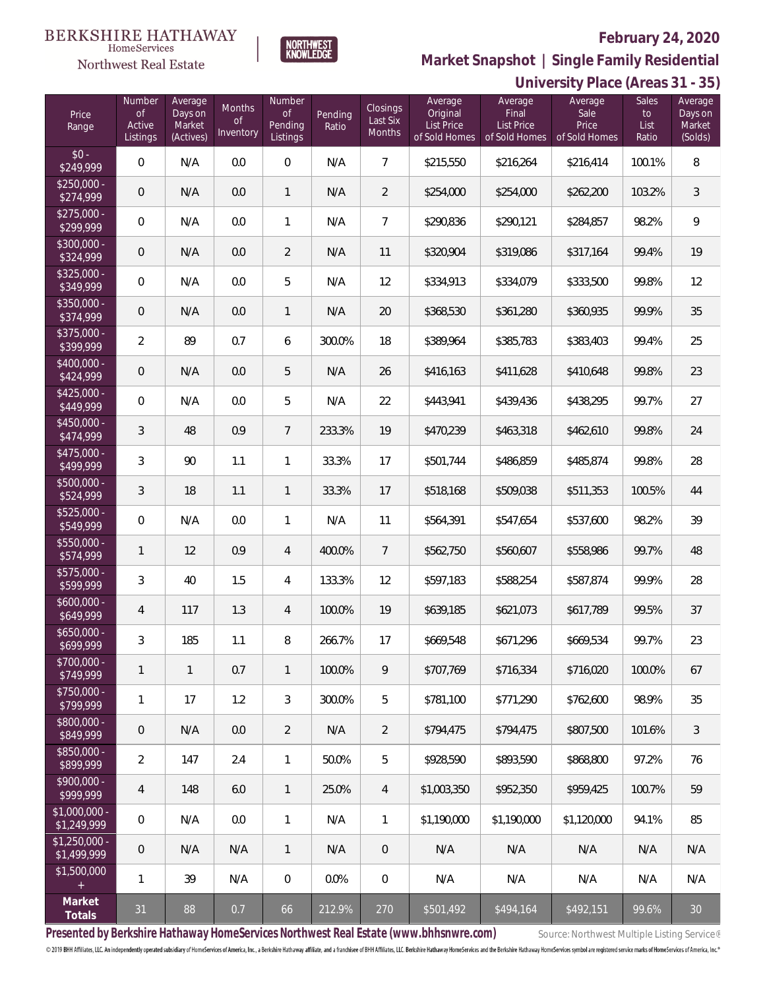

**HomeServices Northwest Real Estate** 

**Market Snapshot | Single Family Residential**

#### **University Place (Areas 31 - 35)** Price Range Numbe of Active Listings **Number** of Pending Listings Pending Ratio Closings Last Six Months Average Original List Price of Sold Homes Average Final List Price of Sold Homes Sales to List Ratio Average Sale Price of Sold Homes Average Days on Market (Solds) Average Days on Market (Actives) Months of **Inventory**  $$0 -$ <br>\$249.999  $$249,999$  0 N/A 0.0 0 N/A 7 \$215,550 \$216,264 \$216,414 100.1% 8 \$250,000<br>\$274,999 \$274,999 <sup>0</sup> N/A 0.0 <sup>1</sup> N/A <sup>2</sup> \$254,000 \$254,000 \$262,200 103.2% <sup>3</sup> \$275,000<br>\$299.999 \$299,999 0 N/A 0.0 1 N/A 7 \$290,836 \$290,121 \$284,857 98.2% 9 \$300,000 - \$324,999 0 N/A 0.0 2 N/A 11 \$320,904 \$319,086 \$317,164 99.4% 19 \$325,000  $\textcolor{red}{\textbf{\$349,999}}$  0 N/A 0.0 5 N/A 12 \$334,913 \$334,079 \$333,500 99.8% 12 \$350,000 -<br>\$374,999 \$374,999 0 N/A 0.0 1 N/A 20 \$368,530 \$361,280 \$360,935 99.9% 35 \$375,000<br>\$399,999  $\textcolor{red}{\mathbf{\$399,999}}$  2 89 0.7 6 300.0% 18 \$389,964 \$385,783 \$383,403 99.4% 25 \$400,000<br>\$424.999 \$424,999 0 N/A 0.0 5 N/A 26 \$416,163 \$411,628 \$410,648 99.8% 23 \$425,000<br>\$449,999 \$449,999 0 N/A 0.0 5 N/A 22 \$443,941 \$439,436 \$438,295 99.7% 27 \$450,000<br>\$474,999 \$474,999 <sup>3</sup> <sup>48</sup> 0.9 <sup>7</sup> 233.3% <sup>19</sup> \$470,239 \$463,318 \$462,610 99.8% <sup>24</sup> \$475,000<br>\$499.999 \$499,999 <sup>3</sup> <sup>90</sup> 1.1 <sup>1</sup> 33.3% <sup>17</sup> \$501,744 \$486,859 \$485,874 99.8% <sup>28</sup> \$500,000<br>\$524,999 \$524,999 3 18 1.1 1 33.3% 17 \$518,168 \$509,038 \$511,353 100.5% 44 \$525,000 \$549,999 0 N/A 0.0 1 N/A 11 \$564,391 \$547,654 \$537,600 98.2% 39 \$550,000 \$574,999 <sup>1</sup> <sup>12</sup> 0.9 <sup>4</sup> 400.0% <sup>7</sup> \$562,750 \$560,607 \$558,986 99.7% <sup>48</sup> \$575,000 \$599,999 <sup>3</sup> <sup>40</sup> 1.5 <sup>4</sup> 133.3% <sup>12</sup> \$597,183 \$588,254 \$587,874 99.9% <sup>28</sup> \$600,000 \$649,999 <sup>4</sup> <sup>117</sup> 1.3 <sup>4</sup> 100.0% <sup>19</sup> \$639,185 \$621,073 \$617,789 99.5% <sup>37</sup> \$650,000 \$699,999 <sup>3</sup> <sup>185</sup> 1.1 <sup>8</sup> 266.7% <sup>17</sup> \$669,548 \$671,296 \$669,534 99.7% <sup>23</sup> \$700,000<br>\$749,999 \$749,999 <sup>1</sup> <sup>1</sup> 0.7 <sup>1</sup> 100.0% <sup>9</sup> \$707,769 \$716,334 \$716,020 100.0% <sup>67</sup> \$750,000<br>\$799,999 \$799,999 <sup>1</sup> <sup>17</sup> 1.2 <sup>3</sup> 300.0% <sup>5</sup> \$781,100 \$771,290 \$762,600 98.9% <sup>35</sup> \$800,000 **\$849,999** 0 N/A 0.0 2 N/A 2 \$794,475 \$794,475 \$807,500 101.6% 3 \$850,000 - \$899,999 <sup>2</sup> <sup>147</sup> 2.4 <sup>1</sup> 50.0% <sup>5</sup> \$928,590 \$893,590 \$868,800 97.2% <sup>76</sup>

**Presented by Berkshire Hathaway HomeServices Northwest Real Estate (www.bhhsnwre.com)** Source: Northwest Multiple Listing Service®

\$900,000<br>\$999,999

\$1,000,000<br>\$1,249,999

\$1,250,000 -

\$1,500,000

**Market**

© 2019 BHH Affiliates, LLC. An independently operated subsidiary of HomeServices of America, Inc., a Berkshire Hathaway affiliate, and a franchisee of BHH Affiliates, LLC. Berkshire Hathaway HomeServices and the Berkshire

**Totals** <sup>31</sup> <sup>88</sup> 0.7 <sup>66</sup> 212.9% <sup>270</sup> \$501,492 \$494,164 \$492,151 99.6% <sup>30</sup>

\$999,999 <sup>4</sup> <sup>148</sup> 6.0 <sup>1</sup> 25.0% <sup>4</sup> \$1,003,350 \$952,350 \$959,425 100.7% <sup>59</sup>

\$1,249,999 0 N/A 0.0 1 N/A 1 \$1,190,000 \$1,190,000 \$1,120,000 94.1% 85

\$1,499,999 <sup>0</sup> N/A N/A <sup>1</sup> N/A <sup>0</sup> N/A N/A N/A N/A N/A

1 39 | N/A | 0 | 0.0% | 0 | N/A | N/A | N/A | N/A | N/A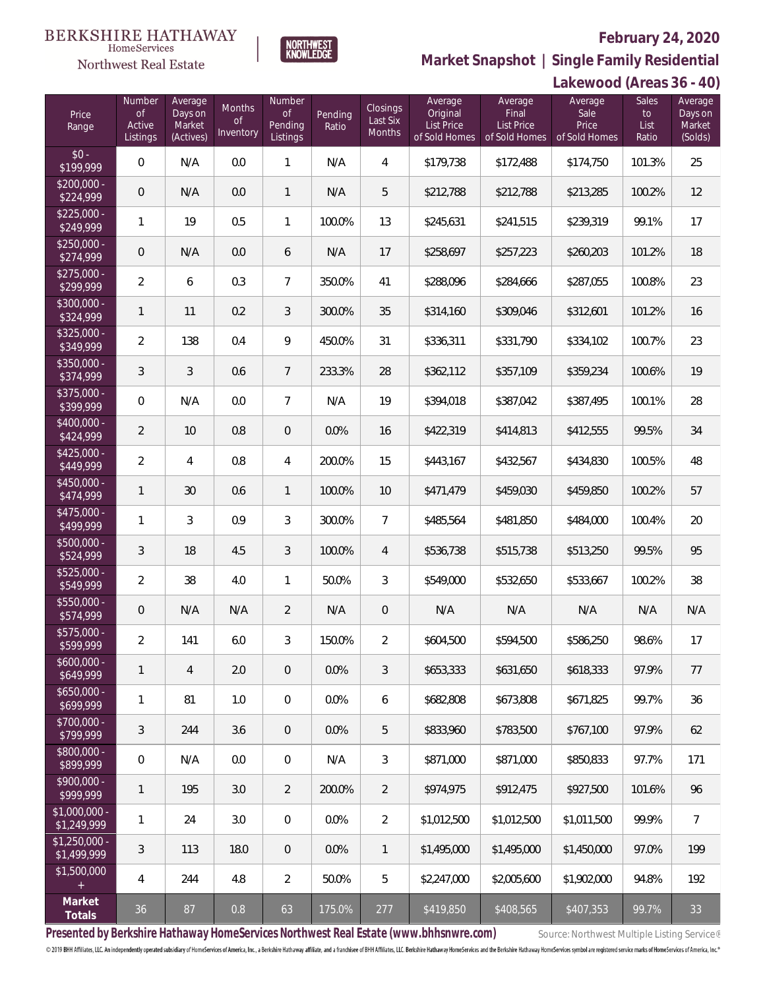

**Market Snapshot | Single Family Residential**

### **BERKSHIRE HATHAWAY** NORTHWEST<br>KNOWLEDGE  $\label{lem:sevices} \textsc{Home} \textsc{Service} \textsc{s}$ Northwest Real Estate

|                               |                                           |                                           |                                      |                                            |                  |                                |                                                           |                                                        | Lakewood (Areas 36 - 40)                  |                                     |                                         |
|-------------------------------|-------------------------------------------|-------------------------------------------|--------------------------------------|--------------------------------------------|------------------|--------------------------------|-----------------------------------------------------------|--------------------------------------------------------|-------------------------------------------|-------------------------------------|-----------------------------------------|
| Price<br>Range                | Number<br>$\circ$ f<br>Active<br>Listings | Average<br>Days on<br>Market<br>(Actives) | Months<br>$\mathsf{of}$<br>Inventory | Number<br><b>of</b><br>Pending<br>Listings | Pending<br>Ratio | Closings<br>Last Six<br>Months | Average<br>Original<br><b>List Price</b><br>of Sold Homes | Average<br>Final<br><b>List Price</b><br>of Sold Homes | Average<br>Sale<br>Price<br>of Sold Homes | <b>Sales</b><br>to<br>List<br>Ratio | Average<br>Days on<br>Market<br>(Solds) |
| $$0 -$<br>\$199,999           | $\overline{0}$                            | N/A                                       | 0.0                                  | $\mathbf{1}$                               | N/A              | $\overline{4}$                 | \$179,738                                                 | \$172,488                                              | \$174,750                                 | 101.3%                              | 25                                      |
| $$200,000 -$<br>\$224,999     | $\mathbf 0$                               | N/A                                       | 0.0                                  | $\mathbf{1}$                               | N/A              | 5                              | \$212,788                                                 | \$212,788                                              | \$213,285                                 | 100.2%                              | 12                                      |
| $$225,000 -$<br>\$249,999     | 1                                         | 19                                        | 0.5                                  | $\mathbf{1}$                               | 100.0%           | 13                             | \$245,631                                                 | \$241,515                                              | \$239,319                                 | 99.1%                               | 17                                      |
| $$250,000 -$<br>\$274,999     | $\mathbf 0$                               | N/A                                       | 0.0                                  | 6                                          | N/A              | 17                             | \$258,697                                                 | \$257,223                                              | \$260,203                                 | 101.2%                              | 18                                      |
| $$275,000 -$<br>\$299,999     | $\overline{2}$                            | 6                                         | 0.3                                  | $\overline{7}$                             | 350.0%           | 41                             | \$288,096                                                 | \$284,666                                              | \$287,055                                 | 100.8%                              | 23                                      |
| $$300,000 -$<br>\$324,999     | 1                                         | 11                                        | 0.2                                  | $\mathfrak{Z}$                             | 300.0%           | 35                             | \$314,160                                                 | \$309,046                                              | \$312,601                                 | 101.2%                              | 16                                      |
| $$325,000 -$<br>\$349,999     | $\overline{2}$                            | 138                                       | 0.4                                  | $\mathsf{Q}$                               | 450.0%           | 31                             | \$336,311                                                 | \$331,790                                              | \$334,102                                 | 100.7%                              | 23                                      |
| $$350,000 -$<br>\$374,999     | $\sqrt{3}$                                | 3                                         | 0.6                                  | $\overline{7}$                             | 233.3%           | 28                             | \$362,112                                                 | \$357,109                                              | \$359,234                                 | 100.6%                              | 19                                      |
| $$375,000 -$<br>\$399,999     | $\mathbf 0$                               | N/A                                       | 0.0                                  | $\overline{7}$                             | N/A              | 19                             | \$394,018                                                 | \$387,042                                              | \$387,495                                 | 100.1%                              | 28                                      |
| $$400.000 -$<br>\$424,999     | 2                                         | 10                                        | 0.8                                  | $\theta$                                   | 0.0%             | 16                             | \$422,319                                                 | \$414,813                                              | \$412,555                                 | 99.5%                               | 34                                      |
| $$425.000 -$<br>\$449,999     | $\overline{2}$                            | 4                                         | $0.8\,$                              | $\overline{4}$                             | 200.0%           | 15                             | \$443,167                                                 | \$432,567                                              | \$434,830                                 | 100.5%                              | 48                                      |
| $$450,000 -$<br>\$474,999     | 1                                         | 30                                        | 0.6                                  | $\mathbf{1}$                               | 100.0%           | 10                             | \$471,479                                                 | \$459,030                                              | \$459,850                                 | 100.2%                              | 57                                      |
| $$475,000 -$<br>\$499,999     | 1                                         | 3                                         | 0.9                                  | $\mathfrak{Z}$                             | 300.0%           | $\overline{7}$                 | \$485,564                                                 | \$481,850                                              | \$484,000                                 | 100.4%                              | 20                                      |
| \$500,000 -<br>\$524,999      | 3                                         | 18                                        | 4.5                                  | $\mathfrak{Z}$                             | 100.0%           | $\overline{4}$                 | \$536,738                                                 | \$515,738                                              | \$513,250                                 | 99.5%                               | 95                                      |
| $$525,000 -$<br>\$549,999     | $\overline{2}$                            | 38                                        | 4.0                                  | $\mathbf{1}$                               | 50.0%            | 3                              | \$549,000                                                 | \$532,650                                              | \$533,667                                 | 100.2%                              | 38                                      |
| \$550,000 -<br>\$574,999      | $\mathbf 0$                               | N/A                                       | N/A                                  | $\overline{2}$                             | N/A              | $\mathbf 0$                    | N/A                                                       | N/A                                                    | N/A                                       | N/A                                 | N/A                                     |
| $$575.000 -$<br>\$599,999     | 2                                         | 141                                       | 6.0                                  | 3                                          | 150.0%           | $\overline{2}$                 | \$604,500                                                 | \$594,500                                              | \$586,250                                 | 98.6%                               | 17                                      |
| $$600,000 -$<br>\$649,999     | 1                                         | $\overline{4}$                            | 2.0                                  | $\overline{0}$                             | 0.0%             | 3                              | \$653,333                                                 | \$631.650                                              | \$618,333                                 | 97.9%                               | 77                                      |
| $$650,000 -$<br>\$699,999     | 1                                         | 81                                        | 1.0                                  | $\mathbf{0}$                               | 0.0%             | 6                              | \$682,808                                                 | \$673.808                                              | \$671.825                                 | 99.7%                               | 36                                      |
| \$700,000 -<br>\$799,999      | 3                                         | 244                                       | 3.6                                  | $\theta$                                   | 0.0%             | 5                              | \$833,960                                                 | \$783,500                                              | \$767,100                                 | 97.9%                               | 62                                      |
| \$800,000 -<br>\$899,999      | $\mathbf 0$                               | N/A                                       | 0.0                                  | $\theta$                                   | N/A              | 3                              | \$871,000                                                 | \$871,000                                              | \$850,833                                 | 97.7%                               | 171                                     |
| \$900,000 -<br>\$999,999      | 1                                         | 195                                       | 3.0                                  | $\overline{2}$                             | 200.0%           | $\overline{2}$                 | \$974,975                                                 | \$912,475                                              | \$927.500                                 | 101.6%                              | 96                                      |
| $$1,000,000 -$<br>\$1,249,999 | 1                                         | 24                                        | 3.0                                  | $\overline{0}$                             | 0.0%             | 2                              | \$1,012,500                                               | \$1,012,500                                            | \$1,011,500                               | 99.9%                               | $7^{\circ}$                             |
| $$1,250,000 -$<br>\$1,499,999 | 3                                         | 113                                       | 18.0                                 | $\theta$                                   | 0.0%             | $\mathbf{1}$                   | \$1,495,000                                               | \$1,495,000                                            | \$1,450,000                               | 97.0%                               | 199                                     |
| \$1,500,000                   | 4                                         | 244                                       | 4.8                                  | $\overline{2}$                             | 50.0%            | 5                              | \$2,247,000                                               | \$2,005,600                                            | \$1,902,000                               | 94.8%                               | 192                                     |
| Market<br>Totals              | 36                                        | 87                                        | 0.8                                  | 63                                         | 175.0%           | 277                            | \$419,850                                                 | \$408,565                                              | \$407,353                                 | 99.7%                               | 33                                      |

Presented by Berkshire Hathaway HomeServices Northwest Real Estate (www.bhhsnwre.com) Source: Northwest Multiple Listing Service®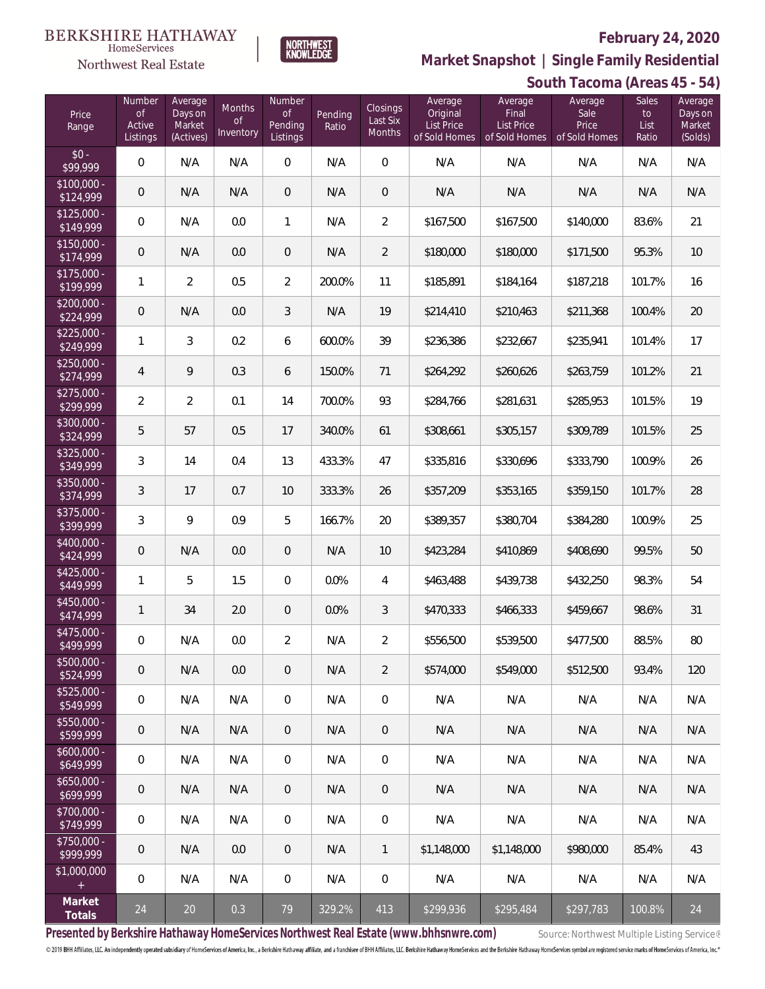

**Market Snapshot | Single Family Residential**

### $\label{lem:sevices} \textsc{Home} \textsc{Service} \textsc{s}$ Northwest Real Estate

**BERKSHIRE HATHAWAY** 

| Price<br>Range            | Number<br><b>of</b><br>Active<br>Listings | Average<br>Days on<br>Market<br>(Actives) | <b>Months</b><br><b>of</b><br>Inventory | Number<br><b>of</b><br>Pending<br>Listings | Pending<br>Ratio | Closings<br>Last Six<br>Months | Average<br>Original<br><b>List Price</b><br>of Sold Homes | Average<br>Final<br><b>List Price</b><br>of Sold Homes | Average<br>Sale<br>Price<br>of Sold Homes | <b>Sales</b><br>to<br>List<br>Ratio | Average<br>Days on<br>Market<br>(Solds) |
|---------------------------|-------------------------------------------|-------------------------------------------|-----------------------------------------|--------------------------------------------|------------------|--------------------------------|-----------------------------------------------------------|--------------------------------------------------------|-------------------------------------------|-------------------------------------|-----------------------------------------|
| $$0 -$<br>\$99,999        | $\overline{0}$                            | N/A                                       | N/A                                     | $\Omega$                                   | N/A              | $\overline{0}$                 | N/A                                                       | N/A                                                    | N/A                                       | N/A                                 | N/A                                     |
| $$100,000 -$<br>\$124,999 | $\mathbf 0$                               | N/A                                       | N/A                                     | $\overline{0}$                             | N/A              | $\overline{0}$                 | N/A                                                       | N/A                                                    | N/A                                       | N/A                                 | N/A                                     |
| $$125,000 -$<br>\$149,999 | 0                                         | N/A                                       | 0.0                                     | $\mathbf{1}$                               | N/A              | $\overline{2}$                 | \$167,500                                                 | \$167,500                                              | \$140,000                                 | 83.6%                               | 21                                      |
| $$150,000 -$<br>\$174,999 | $\mathbf 0$                               | N/A                                       | 0.0                                     | $\overline{0}$                             | N/A              | $\overline{2}$                 | \$180,000                                                 | \$180,000                                              | \$171,500                                 | 95.3%                               | 10                                      |
| $$175,000 -$<br>\$199,999 | 1                                         | $\overline{2}$                            | 0.5                                     | $\overline{2}$                             | 200.0%           | 11                             | \$185,891                                                 | \$184,164                                              | \$187,218                                 | 101.7%                              | 16                                      |
| $$200,000 -$<br>\$224,999 | $\mathbf 0$                               | N/A                                       | 0.0                                     | $\mathfrak{Z}$                             | N/A              | 19                             | \$214,410                                                 | \$210,463                                              | \$211,368                                 | 100.4%                              | 20                                      |
| $$225,000 -$<br>\$249,999 | $\mathbf{1}$                              | 3                                         | 0.2                                     | 6                                          | 600.0%           | 39                             | \$236,386                                                 | \$232,667                                              | \$235,941                                 | 101.4%                              | 17                                      |
| $$250,000 -$<br>\$274,999 | $\overline{4}$                            | 9                                         | 0.3                                     | 6                                          | 150.0%           | 71                             | \$264,292                                                 | \$260,626                                              | \$263,759                                 | 101.2%                              | 21                                      |
| $$275,000 -$<br>\$299,999 | $\overline{2}$                            | $\overline{2}$                            | 0.1                                     | 14                                         | 700.0%           | 93                             | \$284,766                                                 | \$281,631                                              | \$285,953                                 | 101.5%                              | 19                                      |
| $$300,000 -$<br>\$324,999 | 5                                         | 57                                        | 0.5                                     | 17                                         | 340.0%           | 61                             | \$308,661                                                 | \$305,157                                              | \$309,789                                 | 101.5%                              | 25                                      |
| $$325,000 -$<br>\$349,999 | 3                                         | 14                                        | 0.4                                     | 13                                         | 433.3%           | 47                             | \$335,816                                                 | \$330,696                                              | \$333,790                                 | 100.9%                              | 26                                      |
| $$350,000 -$<br>\$374,999 | 3                                         | 17                                        | 0.7                                     | 10                                         | 333.3%           | 26                             | \$357,209                                                 | \$353,165                                              | \$359,150                                 | 101.7%                              | 28                                      |
| $$375,000 -$<br>\$399,999 | 3                                         | 9                                         | 0.9                                     | 5                                          | 166.7%           | 20                             | \$389,357                                                 | \$380,704                                              | \$384,280                                 | 100.9%                              | 25                                      |
| $$400,000 -$<br>\$424,999 | $\mathbf 0$                               | N/A                                       | 0.0                                     | $\overline{0}$                             | N/A              | 10                             | \$423,284                                                 | \$410,869                                              | \$408,690                                 | 99.5%                               | 50                                      |
| $$425,000 -$<br>\$449,999 | $\mathbf{1}$                              | 5                                         | 1.5                                     | $\mathbf{0}$                               | 0.0%             | 4                              | \$463,488                                                 | \$439,738                                              | \$432,250                                 | 98.3%                               | 54                                      |
| $$450,000 -$<br>\$474,999 | $\mathbf{1}$                              | 34                                        | 2.0                                     | $\overline{0}$                             | 0.0%             | 3                              | \$470,333                                                 | \$466,333                                              | \$459,667                                 | 98.6%                               | 31                                      |
| $$475,000 -$<br>\$499,999 | $\boldsymbol{0}$                          | N/A                                       | 0.0                                     | $\overline{2}$                             | N/A              | $\overline{a}$                 | \$556,500                                                 | \$539,500                                              | \$477,500                                 | 88.5%                               | $80\,$                                  |
| $$500,000 -$<br>\$524,999 | $\mathbf 0$                               | N/A                                       | 0.0                                     | $\,0\,$                                    | N/A              | $\overline{2}$                 | \$574,000                                                 | \$549,000                                              | \$512,500                                 | 93.4%                               | 120                                     |
| $$525,000 -$<br>\$549,999 | 0                                         | N/A                                       | N/A                                     | $\mathbf 0$                                | N/A              | $\mathbf 0$                    | N/A                                                       | N/A                                                    | N/A                                       | N/A                                 | N/A                                     |
| $$550,000 -$<br>\$599,999 | 0                                         | N/A                                       | N/A                                     | $\,0\,$                                    | N/A              | $\theta$                       | N/A                                                       | N/A                                                    | N/A                                       | N/A                                 | N/A                                     |
| $$600,000 -$<br>\$649,999 | 0                                         | N/A                                       | N/A                                     | $\mathbf 0$                                | N/A              | $\boldsymbol{0}$               | N/A                                                       | N/A                                                    | N/A                                       | N/A                                 | N/A                                     |
| $$650,000 -$<br>\$699,999 | $\mathbf 0$                               | N/A                                       | N/A                                     | $\,0\,$                                    | N/A              | $\theta$                       | N/A                                                       | N/A                                                    | N/A                                       | N/A                                 | N/A                                     |
| $$700,000 -$<br>\$749,999 | 0                                         | N/A                                       | N/A                                     | $\,0\,$                                    | N/A              | $\mathbf 0$                    | N/A                                                       | N/A                                                    | N/A                                       | N/A                                 | N/A                                     |
| $$750,000 -$<br>\$999,999 | 0                                         | N/A                                       | 0.0                                     | $\,0\,$                                    | N/A              | 1                              | \$1,148,000                                               | \$1,148,000                                            | \$980,000                                 | 85.4%                               | 43                                      |
| \$1,000,000<br>$\pm$      | 0                                         | N/A                                       | N/A                                     | $\overline{0}$                             | N/A              | $\mathbf 0$                    | N/A                                                       | N/A                                                    | N/A                                       | N/A                                 | N/A                                     |
| Market<br>Totals          | 24                                        | 20                                        | 0.3                                     | 79                                         | 329.2%           | 413                            | \$299,936                                                 | \$295,484                                              | \$297,783                                 | 100.8%                              | 24                                      |

Presented by Berkshire Hathaway HomeServices Northwest Real Estate (www.bhhsnwre.com) Source: Northwest Multiple Listing Service®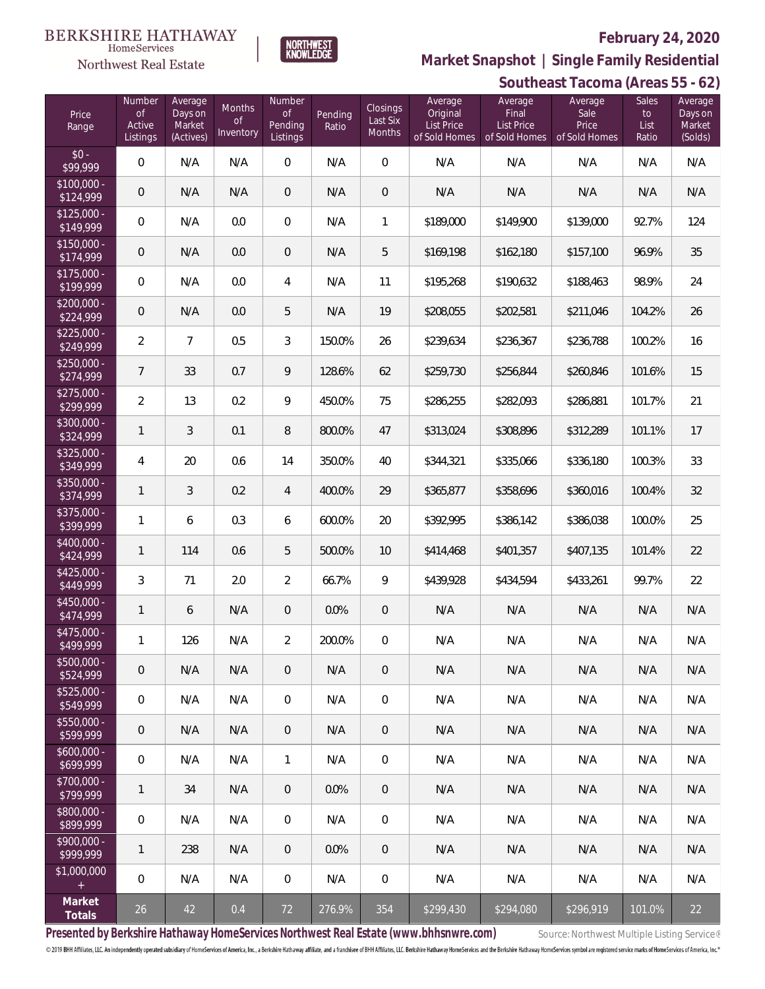

 $\label{lem:sevices} \textsc{Home} \textsc{Service} \textsc{s}$ 

# **Market Snapshot | Single Family Residential**

|                           | Southeast Tacoma (Areas 55 - 62)   |                                           |                                  |                                            |                  |                                       |                                                    |                                                        |                                           |                              |                                         |
|---------------------------|------------------------------------|-------------------------------------------|----------------------------------|--------------------------------------------|------------------|---------------------------------------|----------------------------------------------------|--------------------------------------------------------|-------------------------------------------|------------------------------|-----------------------------------------|
| Price<br>Range            | Number<br>0f<br>Active<br>Listings | Average<br>Days on<br>Market<br>(Actives) | Months<br><b>of</b><br>Inventory | Number<br><b>of</b><br>Pending<br>Listings | Pending<br>Ratio | <b>Closings</b><br>Last Six<br>Months | Average<br>Original<br>List Price<br>of Sold Homes | Average<br>Final<br><b>List Price</b><br>of Sold Homes | Average<br>Sale<br>Price<br>of Sold Homes | Sales<br>to<br>List<br>Ratio | Average<br>Days on<br>Market<br>(Solds) |
| $$0 -$<br>\$99,999        | $\mathbf 0$                        | N/A                                       | N/A                              | $\overline{0}$                             | N/A              | 0                                     | N/A                                                | N/A                                                    | N/A                                       | N/A                          | N/A                                     |
| $$100,000 -$<br>\$124,999 | $\mathsf{O}\xspace$                | N/A                                       | N/A                              | $\overline{0}$                             | N/A              | $\mathbf 0$                           | N/A                                                | N/A                                                    | N/A                                       | N/A                          | N/A                                     |
| $$125,000 -$<br>\$149,999 | $\,0\,$                            | N/A                                       | 0.0                              | $\theta$                                   | N/A              | 1                                     | \$189,000                                          | \$149,900                                              | \$139,000                                 | 92.7%                        | 124                                     |
| $$150,000 -$<br>\$174,999 | $\mathsf{O}\xspace$                | N/A                                       | 0.0                              | $\theta$                                   | N/A              | 5                                     | \$169,198                                          | \$162,180                                              | \$157,100                                 | 96.9%                        | 35                                      |
| $$175,000 -$<br>\$199,999 | 0                                  | N/A                                       | 0.0                              | 4                                          | N/A              | 11                                    | \$195,268                                          | \$190,632                                              | \$188,463                                 | 98.9%                        | 24                                      |
| $$200,000 -$<br>\$224,999 | $\mathbf 0$                        | N/A                                       | 0.0                              | 5                                          | N/A              | 19                                    | \$208,055                                          | \$202,581                                              | \$211,046                                 | 104.2%                       | 26                                      |
| $$225,000 -$<br>\$249,999 | $\overline{2}$                     | $\overline{7}$                            | 0.5                              | 3                                          | 150.0%           | 26                                    | \$239,634                                          | \$236,367                                              | \$236,788                                 | 100.2%                       | 16                                      |
| $$250,000 -$<br>\$274,999 | $\overline{7}$                     | 33                                        | 0.7                              | 9                                          | 128.6%           | 62                                    | \$259,730                                          | \$256,844                                              | \$260,846                                 | 101.6%                       | 15                                      |
| $$275,000 -$<br>\$299,999 | $\overline{2}$                     | 13                                        | 0.2                              | 9                                          | 450.0%           | 75                                    | \$286,255                                          | \$282,093                                              | \$286,881                                 | 101.7%                       | 21                                      |
| $$300,000 -$<br>\$324,999 | $\mathbf{1}$                       | 3                                         | 0.1                              | 8                                          | 800.0%           | 47                                    | \$313,024                                          | \$308,896                                              | \$312,289                                 | 101.1%                       | 17                                      |
| $$325,000 -$<br>\$349,999 | 4                                  | 20                                        | 0.6                              | 14                                         | 350.0%           | 40                                    | \$344,321                                          | \$335,066                                              | \$336,180                                 | 100.3%                       | 33                                      |
| $$350,000 -$<br>\$374,999 | $\mathbf{1}$                       | 3                                         | 0.2                              | $\overline{4}$                             | 400.0%           | 29                                    | \$365,877                                          | \$358,696                                              | \$360,016                                 | 100.4%                       | 32                                      |
| $$375,000 -$<br>\$399,999 | $\mathbf{1}$                       | 6                                         | 0.3                              | 6                                          | 600.0%           | 20                                    | \$392,995                                          | \$386,142                                              | \$386,038                                 | 100.0%                       | 25                                      |
| $$400,000 -$<br>\$424,999 | $\mathbf{1}$                       | 114                                       | 0.6                              | 5                                          | 500.0%           | 10                                    | \$414,468                                          | \$401,357                                              | \$407,135                                 | 101.4%                       | 22                                      |
| $$425,000 -$<br>\$449,999 | $\sqrt{3}$                         | 71                                        | 2.0                              | $\overline{2}$                             | 66.7%            | 9                                     | \$439,928                                          | \$434,594                                              | \$433,261                                 | 99.7%                        | 22                                      |
| $$450,000 -$<br>\$474,999 | $\mathbf{1}$                       | 6                                         | N/A                              | $\theta$                                   | 0.0%             | $\mathbf 0$                           | N/A                                                | N/A                                                    | N/A                                       | N/A                          | N/A                                     |
| \$475,000 -<br>\$499,999  | $\mathbf{1}$                       | 126                                       | N/A                              | 2                                          | 200.0%           | 0                                     | N/A                                                | N/A                                                    | N/A                                       | N/A                          | N/A                                     |
| $$500,000 -$<br>\$524,999 | $\theta$                           | N/A                                       | N/A                              | $\overline{0}$                             | N/A              | 0                                     | N/A                                                | N/A                                                    | N/A                                       | N/A                          | N/A                                     |
| $$525,000 -$<br>\$549,999 | 0                                  | N/A                                       | N/A                              | $\overline{0}$                             | N/A              | 0                                     | N/A                                                | N/A                                                    | N/A                                       | N/A                          | N/A                                     |
| $$550,000 -$<br>\$599,999 | $\overline{0}$                     | N/A                                       | N/A                              | $\mathbf 0$                                | N/A              | 0                                     | N/A                                                | N/A                                                    | N/A                                       | N/A                          | N/A                                     |
| $$600.000 -$<br>\$699,999 | $\mathbf 0$                        | N/A                                       | N/A                              | 1                                          | N/A              | 0                                     | N/A                                                | N/A                                                    | N/A                                       | N/A                          | N/A                                     |
| $$700,000 -$<br>\$799,999 | $\mathbf{1}$                       | 34                                        | N/A                              | $\mathbf 0$                                | 0.0%             | 0                                     | N/A                                                | N/A                                                    | N/A                                       | N/A                          | N/A                                     |
| $$800,000 -$<br>\$899,999 | $\mathbf 0$                        | N/A                                       | N/A                              | $\overline{0}$                             | N/A              | 0                                     | N/A                                                | N/A                                                    | N/A                                       | N/A                          | N/A                                     |
| $$900.000 -$<br>\$999,999 | 1                                  | 238                                       | N/A                              | $\mathbf 0$                                | 0.0%             | 0                                     | N/A                                                | N/A                                                    | N/A                                       | N/A                          | N/A                                     |
| \$1,000,000<br>$+$        | $\overline{0}$                     | N/A                                       | N/A                              | $\mathbf 0$                                | N/A              | 0                                     | N/A                                                | N/A                                                    | N/A                                       | N/A                          | N/A                                     |
| Market<br>Totals          | 26                                 | 42                                        | 0.4                              | 72                                         | 276.9%           | 354                                   | \$299,430                                          | \$294,080                                              | \$296,919                                 | 101.0%                       | 22                                      |

Presented by Berkshire Hathaway HomeServices Northwest Real Estate (www.bhhsnwre.com) Source: Northwest Multiple Listing Service®